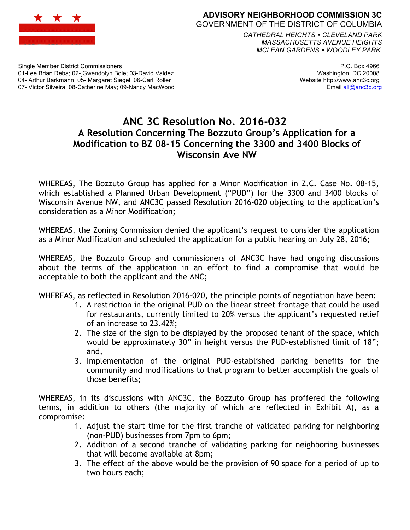

#### **ADVISORY NEIGHBORHOOD COMMISSION 3C** GOVERNMENT OF THE DISTRICT OF COLUMBIA

*CATHEDRAL HEIGHTS CLEVELAND PARK MASSACHUSETTS AVENUE HEIGHTS MCLEAN GARDENS WOODLEY PARK*

Single Member District Commissioners 01-Lee Brian Reba; 02- Gwendolyn Bole; 03-David Valdez 04- Arthur Barkmann; 05- Margaret Siegel; 06-Carl Roller 07- Victor Silveira; 08-Catherine May; 09-Nancy MacWood

P.O. Box 4966 Washington, DC 20008 Website http://www.anc3c.org Email all@anc3c.org

# **ANC 3C Resolution No. 2016-032 A Resolution Concerning The Bozzuto Group's Application for a Modification to BZ 08-15 Concerning the 3300 and 3400 Blocks of Wisconsin Ave NW**

WHEREAS, The Bozzuto Group has applied for a Minor Modification in Z.C. Case No. 08-15, which established a Planned Urban Development ("PUD") for the 3300 and 3400 blocks of Wisconsin Avenue NW, and ANC3C passed Resolution 2016-020 objecting to the application's consideration as a Minor Modification;

WHEREAS, the Zoning Commission denied the applicant's request to consider the application as a Minor Modification and scheduled the application for a public hearing on July 28, 2016;

WHEREAS, the Bozzuto Group and commissioners of ANC3C have had ongoing discussions about the terms of the application in an effort to find a compromise that would be acceptable to both the applicant and the ANC;

WHEREAS, as reflected in Resolution 2016-020, the principle points of negotiation have been:

- 1. A restriction in the original PUD on the linear street frontage that could be used for restaurants, currently limited to 20% versus the applicant's requested relief of an increase to 23.42%;
- 2. The size of the sign to be displayed by the proposed tenant of the space, which would be approximately 30" in height versus the PUD-established limit of 18"; and,
- 3. Implementation of the original PUD-established parking benefits for the community and modifications to that program to better accomplish the goals of those benefits;

WHEREAS, in its discussions with ANC3C, the Bozzuto Group has proffered the following terms, in addition to others (the majority of which are reflected in Exhibit A), as a compromise:

- 1. Adjust the start time for the first tranche of validated parking for neighboring (non-PUD) businesses from 7pm to 6pm;
- 2. Addition of a second tranche of validating parking for neighboring businesses that will become available at 8pm;
- 3. The effect of the above would be the provision of 90 space for a period of up to two hours each;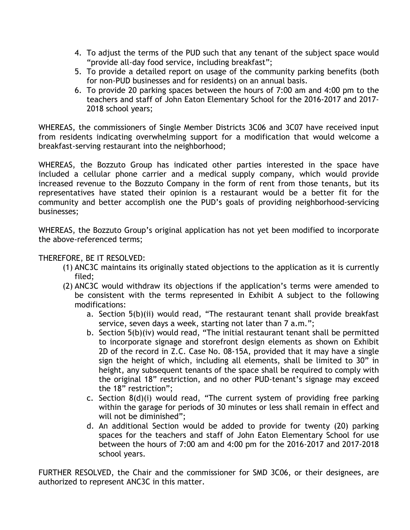- 4. To adjust the terms of the PUD such that any tenant of the subject space would "provide all-day food service, including breakfast";
- 5. To provide a detailed report on usage of the community parking benefits (both for non-PUD businesses and for residents) on an annual basis.
- 6. To provide 20 parking spaces between the hours of 7:00 am and 4:00 pm to the teachers and staff of John Eaton Elementary School for the 2016-2017 and 2017- 2018 school years;

WHEREAS, the commissioners of Single Member Districts 3C06 and 3C07 have received input from residents indicating overwhelming support for a modification that would welcome a breakfast-serving restaurant into the neighborhood;

WHEREAS, the Bozzuto Group has indicated other parties interested in the space have included a cellular phone carrier and a medical supply company, which would provide increased revenue to the Bozzuto Company in the form of rent from those tenants, but its representatives have stated their opinion is a restaurant would be a better fit for the community and better accomplish one the PUD's goals of providing neighborhood-servicing businesses;

WHEREAS, the Bozzuto Group's original application has not yet been modified to incorporate the above-referenced terms;

## THEREFORE, BE IT RESOLVED:

- (1) ANC3C maintains its originally stated objections to the application as it is currently filed;
- (2) ANC3C would withdraw its objections if the application's terms were amended to be consistent with the terms represented in Exhibit A subject to the following modifications:
	- a. Section 5(b)(ii) would read, "The restaurant tenant shall provide breakfast service, seven days a week, starting not later than 7 a.m.";
	- b. Section 5(b)(iv) would read, "The initial restaurant tenant shall be permitted to incorporate signage and storefront design elements as shown on Exhibit 2D of the record in Z.C. Case No. 08-15A, provided that it may have a single sign the height of which, including all elements, shall be limited to 30" in height, any subsequent tenants of the space shall be required to comply with the original 18" restriction, and no other PUD-tenant's signage may exceed the 18" restriction";
	- c. Section 8(d)(i) would read, "The current system of providing free parking within the garage for periods of 30 minutes or less shall remain in effect and will not be diminished";
	- d. An additional Section would be added to provide for twenty (20) parking spaces for the teachers and staff of John Eaton Elementary School for use between the hours of 7:00 am and 4:00 pm for the 2016-2017 and 2017-2018 school years.

FURTHER RESOLVED, the Chair and the commissioner for SMD 3C06, or their designees, are authorized to represent ANC3C in this matter.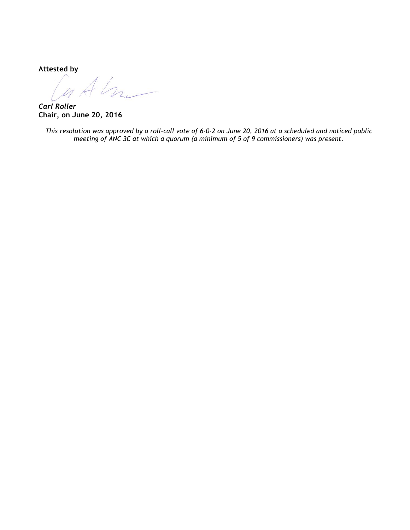**Attested by**

GAL

*Carl Roller* **Chair, on June 20, 2016**

*This resolution was approved by a roll-call vote of 6-0-2 on June 20, 2016 at a scheduled and noticed public meeting of ANC 3C at which a quorum (a minimum of 5 of 9 commissioners) was present.*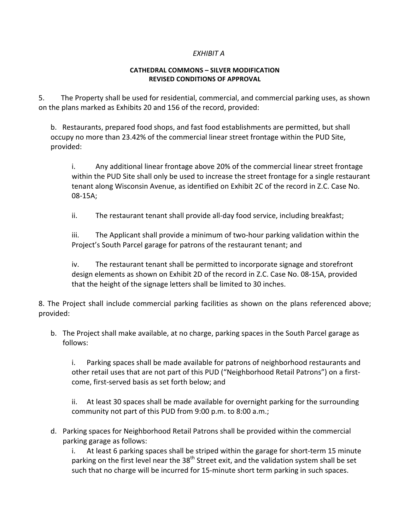### *EXHIBIT A*

#### **CATHEDRAL COMMONS – SILVER MODIFICATION REVISED CONDITIONS OF APPROVAL**

5. The Property shall be used for residential, commercial, and commercial parking uses, as shown on the plans marked as Exhibits 20 and 156 of the record, provided:

b. Restaurants, prepared food shops, and fast food establishments are permitted, but shall occupy no more than 23.42% of the commercial linear street frontage within the PUD Site, provided:

i. Any additional linear frontage above 20% of the commercial linear street frontage within the PUD Site shall only be used to increase the street frontage for a single restaurant tenant along Wisconsin Avenue, as identified on Exhibit 2C of the record in Z.C. Case No. 08-15A;

ii. The restaurant tenant shall provide all-day food service, including breakfast;

iii. The Applicant shall provide a minimum of two-hour parking validation within the Project's South Parcel garage for patrons of the restaurant tenant; and

iv. The restaurant tenant shall be permitted to incorporate signage and storefront design elements as shown on Exhibit 2D of the record in Z.C. Case No. 08-15A, provided that the height of the signage letters shall be limited to 30 inches.

8. The Project shall include commercial parking facilities as shown on the plans referenced above; provided: 

b. The Project shall make available, at no charge, parking spaces in the South Parcel garage as follows: 

i. Parking spaces shall be made available for patrons of neighborhood restaurants and other retail uses that are not part of this PUD ("Neighborhood Retail Patrons") on a firstcome, first-served basis as set forth below; and

ii. At least 30 spaces shall be made available for overnight parking for the surrounding community not part of this PUD from 9:00 p.m. to 8:00 a.m.;

d. Parking spaces for Neighborhood Retail Patrons shall be provided within the commercial parking garage as follows:

i. At least 6 parking spaces shall be striped within the garage for short-term 15 minute parking on the first level near the  $38<sup>th</sup>$  Street exit, and the validation system shall be set such that no charge will be incurred for 15-minute short term parking in such spaces.